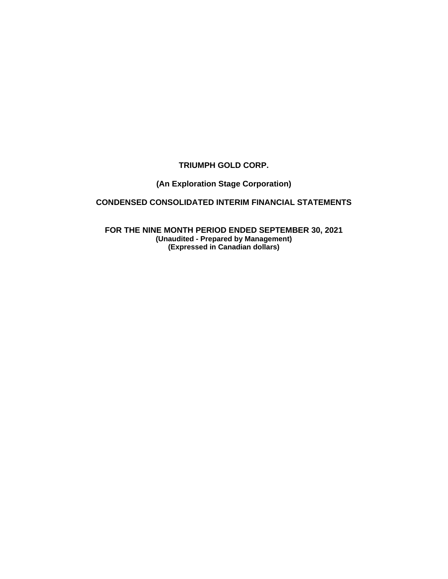# **TRIUMPH GOLD CORP.**

# **(An Exploration Stage Corporation)**

# **CONDENSED CONSOLIDATED INTERIM FINANCIAL STATEMENTS**

**FOR THE NINE MONTH PERIOD ENDED SEPTEMBER 30, 2021 (Unaudited - Prepared by Management) (Expressed in Canadian dollars)**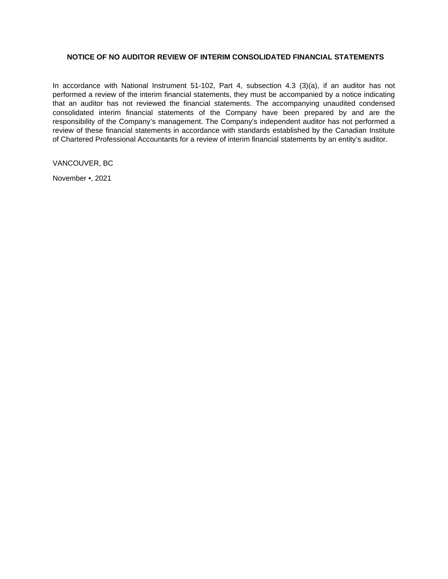## **NOTICE OF NO AUDITOR REVIEW OF INTERIM CONSOLIDATED FINANCIAL STATEMENTS**

In accordance with National Instrument 51-102, Part 4, subsection 4.3 (3)(a), if an auditor has not performed a review of the interim financial statements, they must be accompanied by a notice indicating that an auditor has not reviewed the financial statements. The accompanying unaudited condensed consolidated interim financial statements of the Company have been prepared by and are the responsibility of the Company's management. The Company's independent auditor has not performed a review of these financial statements in accordance with standards established by the Canadian Institute of Chartered Professional Accountants for a review of interim financial statements by an entity's auditor.

VANCOUVER, BC

November •, 2021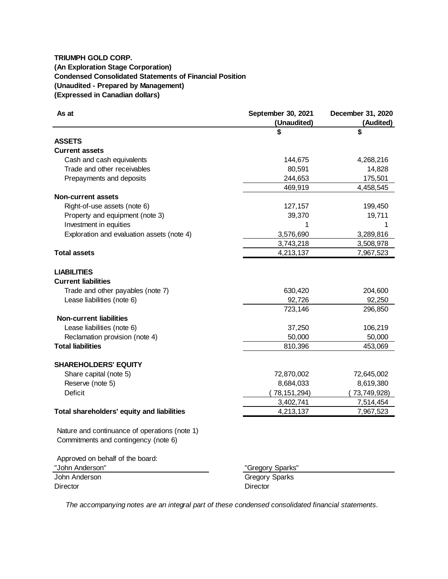# **TRIUMPH GOLD CORP. (An Exploration Stage Corporation) Condensed Consolidated Statements of Financial Position (Unaudited - Prepared by Management) (Expressed in Canadian dollars)**

| As at                                         | September 30, 2021    | December 31, 2020 |
|-----------------------------------------------|-----------------------|-------------------|
|                                               | (Unaudited)           | (Audited)         |
|                                               | S                     | \$                |
| <b>ASSETS</b>                                 |                       |                   |
| <b>Current assets</b>                         |                       |                   |
| Cash and cash equivalents                     | 144,675               | 4,268,216         |
| Trade and other receivables                   | 80,591                | 14,828            |
| Prepayments and deposits                      | 244,653               | 175,501           |
|                                               | 469,919               | 4,458,545         |
| <b>Non-current assets</b>                     |                       |                   |
| Right-of-use assets (note 6)                  | 127,157               | 199,450           |
| Property and equipment (note 3)               | 39,370                | 19,711            |
| Investment in equities                        | 1                     | 1                 |
| Exploration and evaluation assets (note 4)    | 3,576,690             | 3,289,816         |
|                                               | 3,743,218             | 3,508,978         |
| <b>Total assets</b>                           | 4,213,137             | 7,967,523         |
|                                               |                       |                   |
| <b>LIABILITIES</b>                            |                       |                   |
| <b>Current liabilities</b>                    |                       |                   |
| Trade and other payables (note 7)             | 630,420               | 204,600           |
| Lease liabilities (note 6)                    | 92,726                | 92,250            |
|                                               | 723,146               | 296,850           |
| <b>Non-current liabilities</b>                |                       |                   |
| Lease liabilities (note 6)                    | 37,250                | 106,219           |
| Reclamation provision (note 4)                | 50,000                | 50,000            |
| <b>Total liabilities</b>                      | 810,396               | 453,069           |
|                                               |                       |                   |
| <b>SHAREHOLDERS' EQUITY</b>                   |                       |                   |
| Share capital (note 5)                        | 72,870,002            | 72,645,002        |
| Reserve (note 5)                              | 8,684,033             | 8,619,380         |
| <b>Deficit</b>                                | (78, 151, 294)        | 73,749,928)       |
|                                               | 3,402,741             | 7,514,454         |
| Total shareholders' equity and liabilities    | 4,213,137             | 7,967,523         |
|                                               |                       |                   |
| Nature and continuance of operations (note 1) |                       |                   |
|                                               |                       |                   |
| Commitments and contingency (note 6)          |                       |                   |
|                                               |                       |                   |
| Approved on behalf of the board:              |                       |                   |
| "John Anderson"                               | "Gregory Sparks"      |                   |
| John Anderson                                 | <b>Gregory Sparks</b> |                   |
| Director                                      | Director              |                   |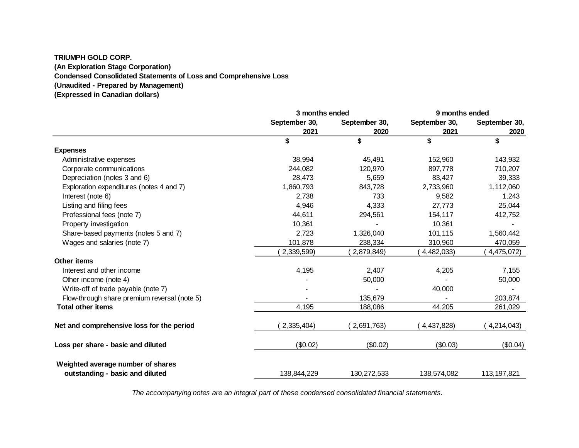# **TRIUMPH GOLD CORP. (An Exploration Stage Corporation) Condensed Consolidated Statements of Loss and Comprehensive Loss (Unaudited - Prepared by Management)**

**(Expressed in Canadian dollars)**

|                                                                      | 3 months ended |               | 9 months ended |               |
|----------------------------------------------------------------------|----------------|---------------|----------------|---------------|
|                                                                      | September 30,  | September 30, | September 30,  | September 30, |
|                                                                      | 2021           | 2020          | 2021           | 2020          |
|                                                                      | \$             | \$            | \$             | \$            |
| <b>Expenses</b>                                                      |                |               |                |               |
| Administrative expenses                                              | 38,994         | 45,491        | 152,960        | 143,932       |
| Corporate communications                                             | 244,082        | 120,970       | 897,778        | 710,207       |
| Depreciation (notes 3 and 6)                                         | 28,473         | 5,659         | 83,427         | 39,333        |
| Exploration expenditures (notes 4 and 7)                             | 1,860,793      | 843,728       | 2,733,960      | 1,112,060     |
| Interest (note 6)                                                    | 2,738          | 733           | 9,582          | 1,243         |
| Listing and filing fees                                              | 4,946          | 4,333         | 27,773         | 25,044        |
| Professional fees (note 7)                                           | 44,611         | 294,561       | 154,117        | 412,752       |
| Property investigation                                               | 10,361         |               | 10,361         |               |
| Share-based payments (notes 5 and 7)                                 | 2,723          | 1,326,040     | 101,115        | 1,560,442     |
| Wages and salaries (note 7)                                          | 101,878        | 238,334       | 310,960        | 470,059       |
|                                                                      | 2,339,599)     | 2,879,849)    | 4,482,033)     | 4,475,072)    |
| <b>Other items</b>                                                   |                |               |                |               |
| Interest and other income                                            | 4,195          | 2,407         | 4,205          | 7,155         |
| Other income (note 4)                                                |                | 50,000        |                | 50,000        |
| Write-off of trade payable (note 7)                                  |                |               | 40,000         |               |
| Flow-through share premium reversal (note 5)                         |                | 135,679       |                | 203,874       |
| <b>Total other items</b>                                             | 4,195          | 188,086       | 44,205         | 261,029       |
| Net and comprehensive loss for the period                            | 2,335,404)     | 2,691,763)    | (4,437,828)    | 4,214,043)    |
| Loss per share - basic and diluted                                   | (\$0.02)       | (\$0.02)      | (\$0.03)       | (\$0.04)      |
| Weighted average number of shares<br>outstanding - basic and diluted | 138,844,229    | 130,272,533   | 138,574,082    | 113, 197, 821 |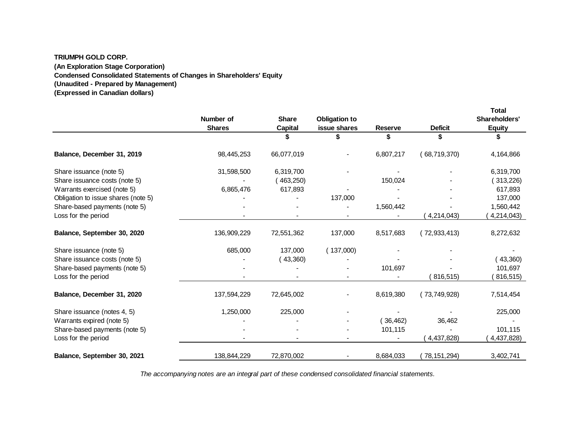#### **TRIUMPH GOLD CORP.**

**(An Exploration Stage Corporation)**

**Condensed Consolidated Statements of Changes in Shareholders' Equity**

**(Unaudited - Prepared by Management)**

**(Expressed in Canadian dollars)**

|                                     | Number of<br><b>Shares</b> | <b>Share</b><br>Capital | <b>Obligation to</b><br>issue shares | <b>Reserve</b> | <b>Deficit</b> | Total<br>Shareholders'<br><b>Equity</b> |
|-------------------------------------|----------------------------|-------------------------|--------------------------------------|----------------|----------------|-----------------------------------------|
|                                     |                            |                         |                                      | \$             |                |                                         |
| Balance, December 31, 2019          | 98,445,253                 | 66,077,019              |                                      | 6,807,217      | (68,719,370)   | 4,164,866                               |
| Share issuance (note 5)             | 31,598,500                 | 6,319,700               |                                      |                |                | 6,319,700                               |
| Share issuance costs (note 5)       |                            | (463,250)               |                                      | 150,024        |                | (313,226)                               |
| Warrants exercised (note 5)         | 6,865,476                  | 617,893                 |                                      |                |                | 617,893                                 |
| Obligation to issue shares (note 5) |                            |                         | 137,000                              |                |                | 137,000                                 |
| Share-based payments (note 5)       |                            |                         |                                      | 1,560,442      |                | 1,560,442                               |
| Loss for the period                 |                            |                         |                                      |                | 4,214,043)     | 4,214,043)                              |
| Balance, September 30, 2020         | 136,909,229                | 72,551,362              | 137,000                              | 8,517,683      | (72, 933, 413) | 8,272,632                               |
| Share issuance (note 5)             | 685,000                    | 137,000                 | (137,000)                            |                |                |                                         |
| Share issuance costs (note 5)       |                            | (43,360)                |                                      |                |                | (43,360)                                |
| Share-based payments (note 5)       |                            |                         |                                      | 101,697        |                | 101,697                                 |
| Loss for the period                 |                            |                         |                                      |                | 816,515)       | 816,515)                                |
| Balance, December 31, 2020          | 137,594,229                | 72,645,002              |                                      | 8,619,380      | (73,749,928)   | 7,514,454                               |
| Share issuance (notes 4, 5)         | 1,250,000                  | 225,000                 |                                      |                |                | 225,000                                 |
| Warrants expired (note 5)           |                            |                         |                                      | (36, 462)      | 36,462         |                                         |
| Share-based payments (note 5)       |                            |                         |                                      | 101,115        |                | 101,115                                 |
| Loss for the period                 |                            |                         |                                      |                | 4,437,828)     | 4,437,828)                              |
| Balance, September 30, 2021         | 138,844,229                | 72,870,002              |                                      | 8,684,033      | (78, 151, 294) | 3,402,741                               |

**Total**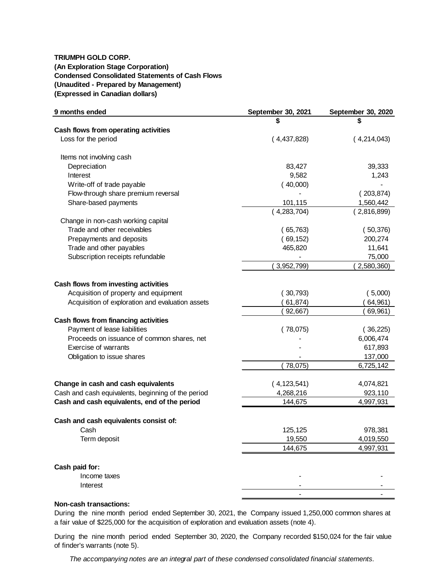# **TRIUMPH GOLD CORP. (An Exploration Stage Corporation) Condensed Consolidated Statements of Cash Flows (Unaudited - Prepared by Management) (Expressed in Canadian dollars)**

| 9 months ended                                     | September 30, 2021 | September 30, 2020 |
|----------------------------------------------------|--------------------|--------------------|
|                                                    |                    |                    |
| Cash flows from operating activities               |                    |                    |
| Loss for the period                                | (4,437,828)        | (4,214,043)        |
| Items not involving cash                           |                    |                    |
| Depreciation                                       | 83,427             | 39,333             |
| Interest                                           | 9,582              | 1,243              |
| Write-off of trade payable                         | (40,000)           |                    |
| Flow-through share premium reversal                |                    | (203, 874)         |
| Share-based payments                               | 101,115            | 1,560,442          |
|                                                    | (4,283,704)        | (2,816,899)        |
| Change in non-cash working capital                 |                    |                    |
| Trade and other receivables                        | (65,763)           | (50, 376)          |
| Prepayments and deposits                           | (69, 152)          | 200,274            |
| Trade and other payables                           | 465,820            | 11,641             |
| Subscription receipts refundable                   |                    | 75,000             |
|                                                    | 3,952,799)         | 2,580,360)         |
|                                                    |                    |                    |
| Cash flows from investing activities               |                    |                    |
| Acquisition of property and equipment              | (30,793)           | (5,000)            |
| Acquisition of exploration and evaluation assets   | 61,874)            | 64,961)            |
|                                                    | 92,667)            | 69,961)            |
| Cash flows from financing activities               |                    |                    |
| Payment of lease liabilities                       | (78,075)           | (36, 225)          |
| Proceeds on issuance of common shares, net         |                    | 6,006,474          |
| Exercise of warrants                               |                    | 617,893            |
| Obligation to issue shares                         |                    | 137,000            |
|                                                    | 78,075)            | 6,725,142          |
| Change in cash and cash equivalents                | (4, 123, 541)      | 4,074,821          |
| Cash and cash equivalents, beginning of the period | 4,268,216          | 923,110            |
| Cash and cash equivalents, end of the period       | 144,675            | 4,997,931          |
| Cash and cash equivalents consist of:              |                    |                    |
| Cash                                               | 125,125            | 978,381            |
| Term deposit                                       | 19,550             | 4,019,550          |
|                                                    | 144,675            | 4,997,931          |
|                                                    |                    |                    |
| Cash paid for:                                     |                    |                    |
| Income taxes                                       |                    |                    |
| Interest                                           |                    |                    |
|                                                    |                    |                    |

## **Non-cash transactions:**

During the nine month period ended September 30, 2021, the Company issued 1,250,000 common shares at a fair value of \$225,000 for the acquisition of exploration and evaluation assets (note 4).

During the nine month period ended September 30, 2020, the Company recorded \$150,024 for the fair value of finder's warrants (note 5).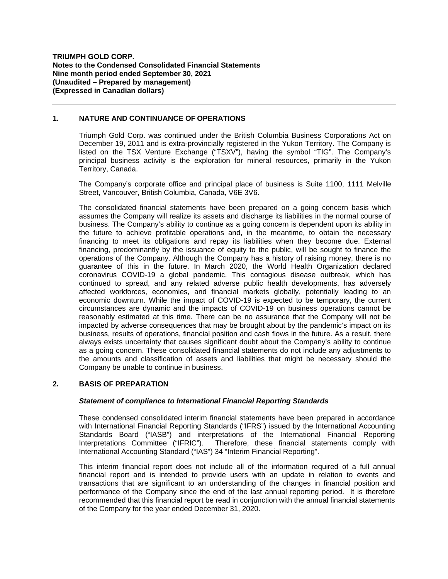## **1. NATURE AND CONTINUANCE OF OPERATIONS**

Triumph Gold Corp. was continued under the British Columbia Business Corporations Act on December 19, 2011 and is extra-provincially registered in the Yukon Territory. The Company is listed on the TSX Venture Exchange ("TSXV"), having the symbol "TIG". The Company's principal business activity is the exploration for mineral resources, primarily in the Yukon Territory, Canada.

The Company's corporate office and principal place of business is Suite 1100, 1111 Melville Street, Vancouver, British Columbia, Canada, V6E 3V6.

The consolidated financial statements have been prepared on a going concern basis which assumes the Company will realize its assets and discharge its liabilities in the normal course of business. The Company's ability to continue as a going concern is dependent upon its ability in the future to achieve profitable operations and, in the meantime, to obtain the necessary financing to meet its obligations and repay its liabilities when they become due. External financing, predominantly by the issuance of equity to the public, will be sought to finance the operations of the Company. Although the Company has a history of raising money, there is no guarantee of this in the future. In March 2020, the World Health Organization declared coronavirus COVID-19 a global pandemic. This contagious disease outbreak, which has continued to spread, and any related adverse public health developments, has adversely affected workforces, economies, and financial markets globally, potentially leading to an economic downturn. While the impact of COVID-19 is expected to be temporary, the current circumstances are dynamic and the impacts of COVID-19 on business operations cannot be reasonably estimated at this time. There can be no assurance that the Company will not be impacted by adverse consequences that may be brought about by the pandemic's impact on its business, results of operations, financial position and cash flows in the future. As a result, there always exists uncertainty that causes significant doubt about the Company's ability to continue as a going concern. These consolidated financial statements do not include any adjustments to the amounts and classification of assets and liabilities that might be necessary should the Company be unable to continue in business.

# **2. BASIS OF PREPARATION**

## *Statement of compliance to International Financial Reporting Standards*

These condensed consolidated interim financial statements have been prepared in accordance with International Financial Reporting Standards ("IFRS") issued by the International Accounting Standards Board ("IASB") and interpretations of the International Financial Reporting Interpretations Committee ("IFRIC"). Therefore, these financial statements comply with International Accounting Standard ("IAS") 34 "Interim Financial Reporting".

This interim financial report does not include all of the information required of a full annual financial report and is intended to provide users with an update in relation to events and transactions that are significant to an understanding of the changes in financial position and performance of the Company since the end of the last annual reporting period. It is therefore recommended that this financial report be read in conjunction with the annual financial statements of the Company for the year ended December 31, 2020.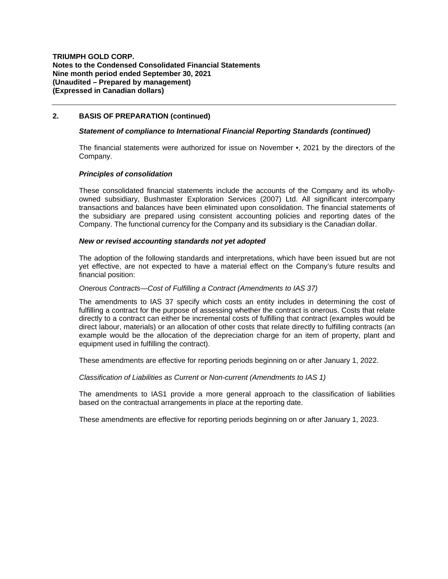## **2. BASIS OF PREPARATION (continued)**

## *Statement of compliance to International Financial Reporting Standards (continued)*

The financial statements were authorized for issue on November •, 2021 by the directors of the Company.

## *Principles of consolidation*

These consolidated financial statements include the accounts of the Company and its whollyowned subsidiary, Bushmaster Exploration Services (2007) Ltd. All significant intercompany transactions and balances have been eliminated upon consolidation. The financial statements of the subsidiary are prepared using consistent accounting policies and reporting dates of the Company. The functional currency for the Company and its subsidiary is the Canadian dollar.

### *New or revised accounting standards not yet adopted*

The adoption of the following standards and interpretations, which have been issued but are not yet effective, are not expected to have a material effect on the Company's future results and financial position:

#### *Onerous Contracts—Cost of Fulfilling a Contract (Amendments to IAS 37)*

The amendments to IAS 37 specify which costs an entity includes in determining the cost of fulfilling a contract for the purpose of assessing whether the contract is onerous. Costs that relate directly to a contract can either be incremental costs of fulfilling that contract (examples would be direct labour, materials) or an allocation of other costs that relate directly to fulfilling contracts (an example would be the allocation of the depreciation charge for an item of property, plant and equipment used in fulfilling the contract).

These amendments are effective for reporting periods beginning on or after January 1, 2022.

#### *Classification of Liabilities as Current or Non-current (Amendments to IAS 1)*

The amendments to IAS1 provide a more general approach to the classification of liabilities based on the contractual arrangements in place at the reporting date.

These amendments are effective for reporting periods beginning on or after January 1, 2023.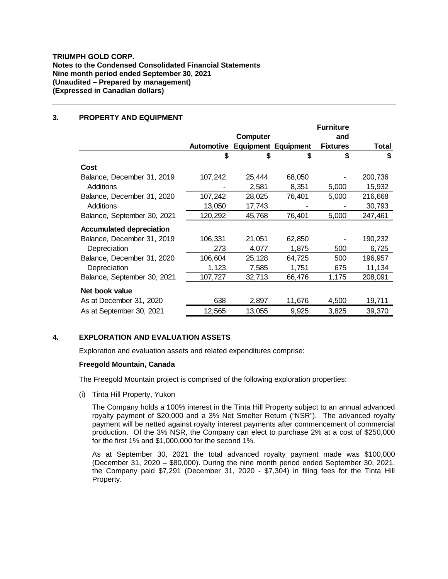## **3. PROPERTY AND EQUIPMENT**

|                                 |            |                 |                            | <b>Furniture</b> |         |
|---------------------------------|------------|-----------------|----------------------------|------------------|---------|
|                                 |            | <b>Computer</b> |                            | and              |         |
|                                 | Automotive |                 | <b>Equipment Equipment</b> | <b>Fixtures</b>  | Total   |
|                                 | S          | S               | \$                         | \$               | \$      |
| Cost                            |            |                 |                            |                  |         |
| Balance, December 31, 2019      | 107,242    | 25,444          | 68,050                     |                  | 200,736 |
| Additions                       |            | 2,581           | 8,351                      | 5,000            | 15,932  |
| Balance, December 31, 2020      | 107,242    | 28,025          | 76,401                     | 5,000            | 216,668 |
| Additions                       | 13,050     | 17,743          |                            |                  | 30,793  |
| Balance, September 30, 2021     | 120,292    | 45,768          | 76,401                     | 5,000            | 247,461 |
| <b>Accumulated depreciation</b> |            |                 |                            |                  |         |
| Balance, December 31, 2019      | 106,331    | 21,051          | 62,850                     |                  | 190,232 |
| Depreciation                    | 273        | 4,077           | 1,875                      | 500              | 6,725   |
| Balance, December 31, 2020      | 106,604    | 25,128          | 64,725                     | 500              | 196,957 |
| Depreciation                    | 1,123      | 7,585           | 1,751                      | 675              | 11,134  |
| Balance, September 30, 2021     | 107,727    | 32,713          | 66,476                     | 1,175            | 208,091 |
| Net book value                  |            |                 |                            |                  |         |
| As at December 31, 2020         | 638        | 2,897           | 11,676                     | 4,500            | 19,711  |
| As at September 30, 2021        | 12,565     | 13,055          | 9,925                      | 3,825            | 39,370  |

# **4. EXPLORATION AND EVALUATION ASSETS**

Exploration and evaluation assets and related expenditures comprise:

#### **Freegold Mountain, Canada**

The Freegold Mountain project is comprised of the following exploration properties:

(i) Tinta Hill Property, Yukon

The Company holds a 100% interest in the Tinta Hill Property subject to an annual advanced royalty payment of \$20,000 and a 3% Net Smelter Return ("NSR"). The advanced royalty payment will be netted against royalty interest payments after commencement of commercial production. Of the 3% NSR, the Company can elect to purchase 2% at a cost of \$250,000 for the first 1% and \$1,000,000 for the second 1%.

As at September 30, 2021 the total advanced royalty payment made was \$100,000 (December 31, 2020 – \$80,000). During the nine month period ended September 30, 2021, the Company paid \$7,291 (December 31, 2020 - \$7,304) in filing fees for the Tinta Hill Property.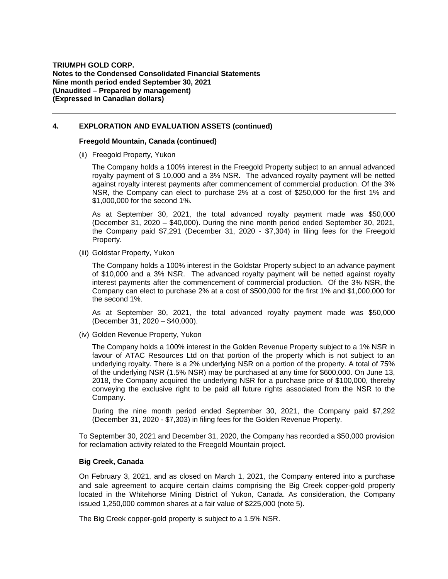## **4. EXPLORATION AND EVALUATION ASSETS (continued)**

### **Freegold Mountain, Canada (continued)**

(ii) Freegold Property, Yukon

The Company holds a 100% interest in the Freegold Property subject to an annual advanced royalty payment of \$ 10,000 and a 3% NSR. The advanced royalty payment will be netted against royalty interest payments after commencement of commercial production. Of the 3% NSR, the Company can elect to purchase 2% at a cost of \$250,000 for the first 1% and \$1,000,000 for the second 1%.

As at September 30, 2021, the total advanced royalty payment made was \$50,000 (December 31, 2020 – \$40,000). During the nine month period ended September 30, 2021, the Company paid \$7,291 (December 31, 2020 - \$7,304) in filing fees for the Freegold Property.

(iii) Goldstar Property, Yukon

The Company holds a 100% interest in the Goldstar Property subject to an advance payment of \$10,000 and a 3% NSR. The advanced royalty payment will be netted against royalty interest payments after the commencement of commercial production. Of the 3% NSR, the Company can elect to purchase 2% at a cost of \$500,000 for the first 1% and \$1,000,000 for the second 1%.

As at September 30, 2021, the total advanced royalty payment made was \$50,000 (December 31, 2020 – \$40,000).

(iv) Golden Revenue Property, Yukon

The Company holds a 100% interest in the Golden Revenue Property subject to a 1% NSR in favour of ATAC Resources Ltd on that portion of the property which is not subject to an underlying royalty. There is a 2% underlying NSR on a portion of the property. A total of 75% of the underlying NSR (1.5% NSR) may be purchased at any time for \$600,000. On June 13, 2018, the Company acquired the underlying NSR for a purchase price of \$100,000, thereby conveying the exclusive right to be paid all future rights associated from the NSR to the Company.

During the nine month period ended September 30, 2021, the Company paid \$7,292 (December 31, 2020 - \$7,303) in filing fees for the Golden Revenue Property.

To September 30, 2021 and December 31, 2020, the Company has recorded a \$50,000 provision for reclamation activity related to the Freegold Mountain project.

## **Big Creek, Canada**

On February 3, 2021, and as closed on March 1, 2021, the Company entered into a purchase and sale agreement to acquire certain claims comprising the Big Creek copper-gold property located in the Whitehorse Mining District of Yukon, Canada. As consideration, the Company issued 1,250,000 common shares at a fair value of \$225,000 (note 5).

The Big Creek copper-gold property is subject to a 1.5% NSR.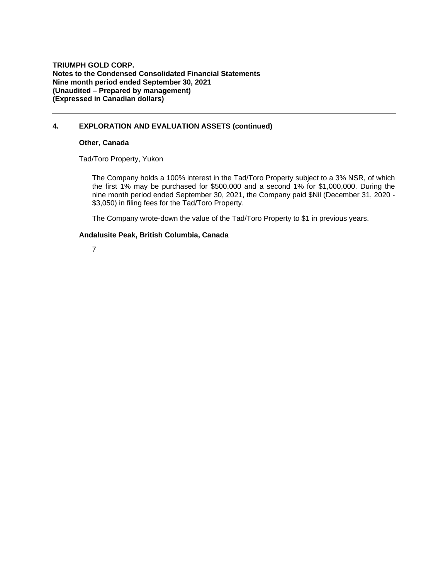**TRIUMPH GOLD CORP. Notes to the Condensed Consolidated Financial Statements Nine month period ended September 30, 2021 (Unaudited – Prepared by management) (Expressed in Canadian dollars)**

## **4. EXPLORATION AND EVALUATION ASSETS (continued)**

### **Other, Canada**

Tad/Toro Property, Yukon

The Company holds a 100% interest in the Tad/Toro Property subject to a 3% NSR, of which the first 1% may be purchased for \$500,000 and a second 1% for \$1,000,000. During the nine month period ended September 30, 2021, the Company paid \$Nil (December 31, 2020 - \$3,050) in filing fees for the Tad/Toro Property.

The Company wrote-down the value of the Tad/Toro Property to \$1 in previous years.

### **Andalusite Peak, British Columbia, Canada**

7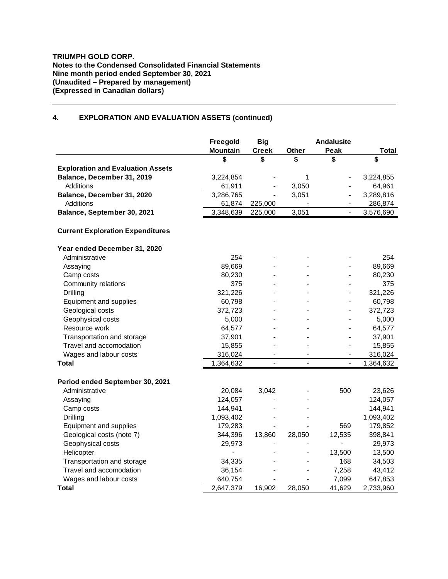# **4. EXPLORATION AND EVALUATION ASSETS (continued)**

|                                          | Freegold<br><b>Mountain</b> | <b>Big</b><br><b>Creek</b>   | Other          | <b>Andalusite</b><br>Peak | <b>Total</b> |
|------------------------------------------|-----------------------------|------------------------------|----------------|---------------------------|--------------|
|                                          | \$                          | \$                           | \$             | \$                        | \$           |
| <b>Exploration and Evaluation Assets</b> |                             |                              |                |                           |              |
| Balance, December 31, 2019               | 3,224,854                   |                              | 1              |                           | 3,224,855    |
| Additions                                | 61,911                      | $\qquad \qquad \blacksquare$ | 3,050          | $\overline{\phantom{0}}$  | 64,961       |
| Balance, December 31, 2020               | 3,286,765                   |                              | 3,051          | $\blacksquare$            | 3,289,816    |
| <b>Additions</b>                         | 61,874                      | 225,000                      |                |                           | 286,874      |
| Balance, September 30, 2021              | 3,348,639                   | 225,000                      | 3,051          |                           | 3,576,690    |
| <b>Current Exploration Expenditures</b>  |                             |                              |                |                           |              |
| Year ended December 31, 2020             |                             |                              |                |                           |              |
| Administrative                           | 254                         |                              |                |                           | 254          |
| Assaying                                 | 89,669                      |                              |                |                           | 89,669       |
| Camp costs                               | 80,230                      |                              |                |                           | 80,230       |
| Community relations                      | 375                         |                              |                |                           | 375          |
| Drilling                                 | 321,226                     |                              |                |                           | 321,226      |
| Equipment and supplies                   | 60,798                      |                              |                |                           | 60,798       |
| Geological costs                         | 372,723                     |                              |                |                           | 372,723      |
| Geophysical costs                        | 5,000                       |                              |                |                           | 5,000        |
| Resource work                            | 64,577                      |                              |                |                           | 64,577       |
| Transportation and storage               | 37,901                      |                              |                |                           | 37,901       |
| Travel and accomodation                  | 15,855                      |                              |                |                           | 15,855       |
| Wages and labour costs                   | 316,024                     |                              |                | $\blacksquare$            | 316,024      |
| <b>Total</b>                             | 1,364,632                   | $\overline{a}$               | $\overline{a}$ | $\frac{1}{2}$             | 1,364,632    |
| Period ended September 30, 2021          |                             |                              |                |                           |              |
| Administrative                           | 20,084                      | 3,042                        |                | 500                       | 23,626       |
| Assaying                                 | 124,057                     |                              |                |                           | 124,057      |
| Camp costs                               | 144,941                     |                              |                |                           | 144,941      |
| Drilling                                 | 1,093,402                   |                              |                |                           | 1,093,402    |
| Equipment and supplies                   | 179,283                     |                              |                | 569                       | 179,852      |
| Geological costs (note 7)                | 344,396                     | 13,860                       | 28,050         | 12,535                    | 398,841      |
| Geophysical costs                        | 29,973                      |                              |                |                           | 29,973       |
| Helicopter                               |                             |                              |                | 13,500                    | 13,500       |
| Transportation and storage               | 34,335                      |                              |                | 168                       | 34,503       |
| Travel and accomodation                  | 36,154                      |                              |                | 7,258                     | 43,412       |
| Wages and labour costs                   | 640,754                     |                              |                | 7,099                     | 647,853      |
| <b>Total</b>                             | 2,647,379                   | 16,902                       | 28,050         | 41,629                    | 2,733,960    |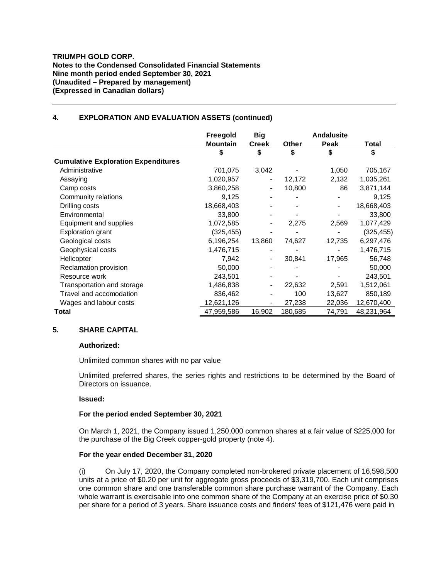### **TRIUMPH GOLD CORP. Notes to the Condensed Consolidated Financial Statements Nine month period ended September 30, 2021 (Unaudited – Prepared by management) (Expressed in Canadian dollars)**

## **4. EXPLORATION AND EVALUATION ASSETS (continued)**

|                                            | Freegold        | <b>Big</b>                   |         | <b>Andalusite</b> |            |
|--------------------------------------------|-----------------|------------------------------|---------|-------------------|------------|
|                                            | <b>Mountain</b> | <b>Creek</b>                 | Other   | Peak              | Total      |
|                                            | \$              | S                            | \$      | \$                | \$         |
| <b>Cumulative Exploration Expenditures</b> |                 |                              |         |                   |            |
| Administrative                             | 701,075         | 3,042                        |         | 1,050             | 705,167    |
| Assaying                                   | 1,020,957       |                              | 12,172  | 2,132             | 1,035,261  |
| Camp costs                                 | 3,860,258       | $\overline{\phantom{a}}$     | 10,800  | 86                | 3,871,144  |
| Community relations                        | 9,125           |                              |         |                   | 9,125      |
| Drilling costs                             | 18,668,403      |                              |         |                   | 18,668,403 |
| Environmental                              | 33,800          |                              |         |                   | 33,800     |
| Equipment and supplies                     | 1,072,585       | $\overline{\phantom{a}}$     | 2,275   | 2,569             | 1,077,429  |
| <b>Exploration grant</b>                   | (325,455)       |                              |         |                   | (325, 455) |
| Geological costs                           | 6,196,254       | 13,860                       | 74,627  | 12,735            | 6,297,476  |
| Geophysical costs                          | 1,476,715       |                              |         |                   | 1,476,715  |
| Helicopter                                 | 7,942           | $\overline{a}$               | 30,841  | 17,965            | 56,748     |
| Reclamation provision                      | 50,000          |                              |         |                   | 50,000     |
| Resource work                              | 243,501         |                              |         |                   | 243,501    |
| Transportation and storage                 | 1,486,838       | $\qquad \qquad \blacksquare$ | 22,632  | 2,591             | 1,512,061  |
| Travel and accomodation                    | 836,462         |                              | 100     | 13,627            | 850,189    |
| Wages and labour costs                     | 12,621,126      |                              | 27,238  | 22,036            | 12,670,400 |
| Total                                      | 47,959,586      | 16,902                       | 180,685 | 74,791            | 48,231,964 |

## **5. SHARE CAPITAL**

## **Authorized:**

Unlimited common shares with no par value

Unlimited preferred shares, the series rights and restrictions to be determined by the Board of Directors on issuance.

## **Issued:**

## **For the period ended September 30, 2021**

On March 1, 2021, the Company issued 1,250,000 common shares at a fair value of \$225,000 for the purchase of the Big Creek copper-gold property (note 4).

## **For the year ended December 31, 2020**

(i) On July 17, 2020, the Company completed non-brokered private placement of 16,598,500 units at a price of \$0.20 per unit for aggregate gross proceeds of \$3,319,700. Each unit comprises one common share and one transferable common share purchase warrant of the Company. Each whole warrant is exercisable into one common share of the Company at an exercise price of \$0.30 per share for a period of 3 years. Share issuance costs and finders' fees of \$121,476 were paid in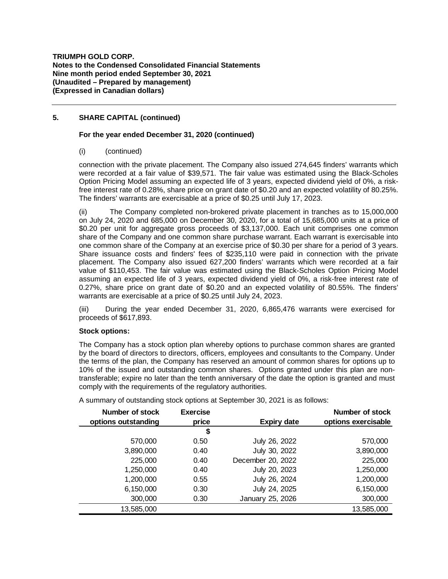# **5. SHARE CAPITAL (continued)**

## **For the year ended December 31, 2020 (continued)**

(i) (continued)

connection with the private placement. The Company also issued 274,645 finders' warrants which were recorded at a fair value of \$39,571. The fair value was estimated using the Black-Scholes Option Pricing Model assuming an expected life of 3 years, expected dividend yield of 0%, a riskfree interest rate of 0.28%, share price on grant date of \$0.20 and an expected volatility of 80.25%. The finders' warrants are exercisable at a price of \$0.25 until July 17, 2023.

(ii) The Company completed non-brokered private placement in tranches as to 15,000,000 on July 24, 2020 and 685,000 on December 30, 2020, for a total of 15,685,000 units at a price of \$0.20 per unit for aggregate gross proceeds of \$3,137,000. Each unit comprises one common share of the Company and one common share purchase warrant. Each warrant is exercisable into one common share of the Company at an exercise price of \$0.30 per share for a period of 3 years. Share issuance costs and finders' fees of \$235,110 were paid in connection with the private placement. The Company also issued 627,200 finders' warrants which were recorded at a fair value of \$110,453. The fair value was estimated using the Black-Scholes Option Pricing Model assuming an expected life of 3 years, expected dividend yield of 0%, a risk-free interest rate of 0.27%, share price on grant date of \$0.20 and an expected volatility of 80.55%. The finders' warrants are exercisable at a price of \$0.25 until July 24, 2023.

(iii) During the year ended December 31, 2020, 6,865,476 warrants were exercised for proceeds of \$617,893.

## **Stock options:**

The Company has a stock option plan whereby options to purchase common shares are granted by the board of directors to directors, officers, employees and consultants to the Company. Under the terms of the plan, the Company has reserved an amount of common shares for options up to 10% of the issued and outstanding common shares. Options granted under this plan are nontransferable; expire no later than the tenth anniversary of the date the option is granted and must comply with the requirements of the regulatory authorities.

| Number of stock     | <b>Exercise</b> |                    | <b>Number of stock</b> |
|---------------------|-----------------|--------------------|------------------------|
| options outstanding | price           | <b>Expiry date</b> | options exercisable    |
|                     | \$              |                    |                        |
| 570,000             | 0.50            | July 26, 2022      | 570,000                |
| 3,890,000           | 0.40            | July 30, 2022      | 3,890,000              |
| 225,000             | 0.40            | December 20, 2022  | 225,000                |
| 1,250,000           | 0.40            | July 20, 2023      | 1,250,000              |
| 1,200,000           | 0.55            | July 26, 2024      | 1,200,000              |
| 6,150,000           | 0.30            | July 24, 2025      | 6,150,000              |
| 300,000             | 0.30            | January 25, 2026   | 300,000                |
| 13,585,000          |                 |                    | 13,585,000             |

A summary of outstanding stock options at September 30, 2021 is as follows: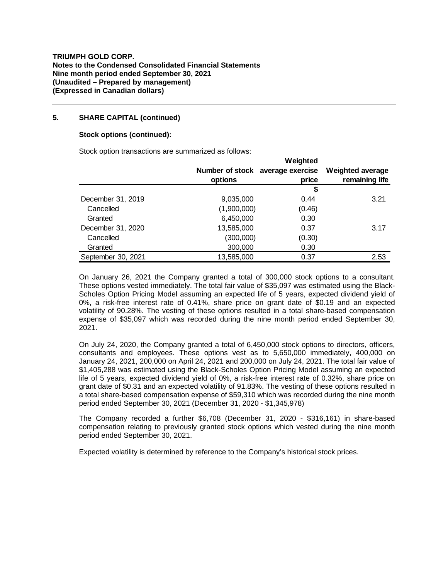## **5. SHARE CAPITAL (continued)**

## **Stock options (continued):**

Stock option transactions are summarized as follows:

|                    |             | Weighted                         |                         |
|--------------------|-------------|----------------------------------|-------------------------|
|                    |             | Number of stock average exercise | <b>Weighted average</b> |
|                    | options     | price                            | remaining life          |
|                    |             | \$                               |                         |
| December 31, 2019  | 9,035,000   | 0.44                             | 3.21                    |
| Cancelled          | (1,900,000) | (0.46)                           |                         |
| Granted            | 6,450,000   | 0.30                             |                         |
| December 31, 2020  | 13,585,000  | 0.37                             | 3.17                    |
| Cancelled          | (300,000)   | (0.30)                           |                         |
| Granted            | 300,000     | 0.30                             |                         |
| September 30, 2021 | 13,585,000  | 0.37                             | 2.53                    |

On January 26, 2021 the Company granted a total of 300,000 stock options to a consultant. These options vested immediately. The total fair value of \$35,097 was estimated using the Black-Scholes Option Pricing Model assuming an expected life of 5 years, expected dividend yield of 0%, a risk-free interest rate of 0.41%, share price on grant date of \$0.19 and an expected volatility of 90.28%. The vesting of these options resulted in a total share-based compensation expense of \$35,097 which was recorded during the nine month period ended September 30, 2021.

On July 24, 2020, the Company granted a total of 6,450,000 stock options to directors, officers, consultants and employees. These options vest as to 5,650,000 immediately, 400,000 on January 24, 2021, 200,000 on April 24, 2021 and 200,000 on July 24, 2021. The total fair value of \$1,405,288 was estimated using the Black-Scholes Option Pricing Model assuming an expected life of 5 years, expected dividend yield of 0%, a risk-free interest rate of 0.32%, share price on grant date of \$0.31 and an expected volatility of 91.83%. The vesting of these options resulted in a total share-based compensation expense of \$59,310 which was recorded during the nine month period ended September 30, 2021 (December 31, 2020 - \$1,345,978)

The Company recorded a further \$6,708 (December 31, 2020 - \$316,161) in share-based compensation relating to previously granted stock options which vested during the nine month period ended September 30, 2021.

Expected volatility is determined by reference to the Company's historical stock prices.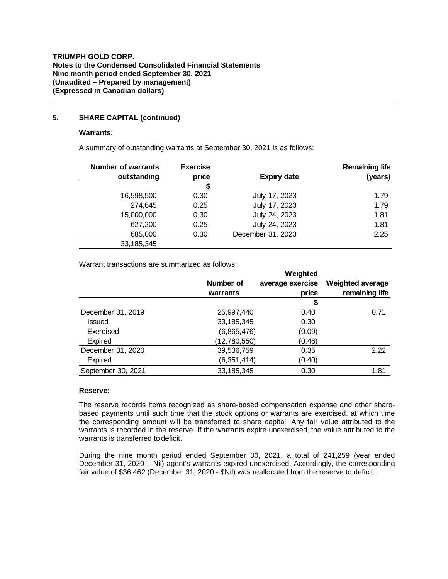## **5. SHARE CAPITAL (continued)**

### **Warrants:**

A summary of outstanding warrants at September 30, 2021 is as follows:

| <b>Number of warrants</b><br>outstanding | <b>Exercise</b><br>price | <b>Expiry date</b> | <b>Remaining life</b><br>(years) |
|------------------------------------------|--------------------------|--------------------|----------------------------------|
|                                          | \$                       |                    |                                  |
| 16,598,500                               | 0.30                     | July 17, 2023      | 1.79                             |
| 274,645                                  | 0.25                     | July 17, 2023      | 1.79                             |
| 15,000,000                               | 0.30                     | July 24, 2023      | 1.81                             |
| 627,200                                  | 0.25                     | July 24, 2023      | 1.81                             |
| 685,000                                  | 0.30                     | December 31, 2023  | 2.25                             |
| 33, 185, 345                             |                          |                    |                                  |

Warrant transactions are summarized as follows:

|                    |               | Weighted         |                         |
|--------------------|---------------|------------------|-------------------------|
|                    | Number of     | average exercise | <b>Weighted average</b> |
|                    | warrants      | price            | remaining life          |
|                    |               | \$               |                         |
| December 31, 2019  | 25,997,440    | 0.40             | 0.71                    |
| Issued             | 33, 185, 345  | 0.30             |                         |
| Exercised          | (6,865,476)   | (0.09)           |                         |
| Expired            | (12,780,550)  | (0.46)           |                         |
| December 31, 2020  | 39,536,759    | 0.35             | 2.22                    |
| Expired            | (6, 351, 414) | (0.40)           |                         |
| September 30, 2021 | 33, 185, 345  | 0.30             | 1.81                    |

### **Reserve:**

The reserve records items recognized as share-based compensation expense and other sharebased payments until such time that the stock options or warrants are exercised, at which time the corresponding amount will be transferred to share capital. Any fair value attributed to the warrants is recorded in the reserve. If the warrants expire unexercised, the value attributed to the warrants is transferred to deficit.

During the nine month period ended September 30, 2021, a total of 241,259 (year ended December 31, 2020 – Nil) agent's warrants expired unexercised. Accordingly, the corresponding fair value of \$36,462 (December 31, 2020 - \$Nil) was reallocated from the reserve to deficit.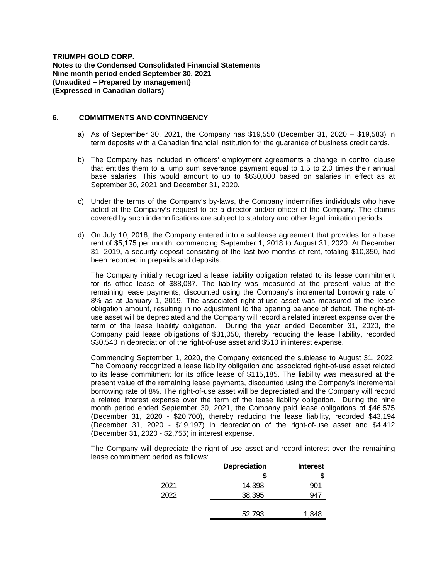### **6. COMMITMENTS AND CONTINGENCY**

- a) As of September 30, 2021, the Company has \$19,550 (December 31, 2020 \$19,583) in term deposits with a Canadian financial institution for the guarantee of business credit cards.
- b) The Company has included in officers' employment agreements a change in control clause that entitles them to a lump sum severance payment equal to 1.5 to 2.0 times their annual base salaries. This would amount to up to \$630,000 based on salaries in effect as at September 30, 2021 and December 31, 2020.
- c) Under the terms of the Company's by-laws, the Company indemnifies individuals who have acted at the Company's request to be a director and/or officer of the Company. The claims covered by such indemnifications are subject to statutory and other legal limitation periods.
- d) On July 10, 2018, the Company entered into a sublease agreement that provides for a base rent of \$5,175 per month, commencing September 1, 2018 to August 31, 2020. At December 31, 2019, a security deposit consisting of the last two months of rent, totaling \$10,350, had been recorded in prepaids and deposits.

The Company initially recognized a lease liability obligation related to its lease commitment for its office lease of \$88,087. The liability was measured at the present value of the remaining lease payments, discounted using the Company's incremental borrowing rate of 8% as at January 1, 2019. The associated right-of-use asset was measured at the lease obligation amount, resulting in no adjustment to the opening balance of deficit. The right-ofuse asset will be depreciated and the Company will record a related interest expense over the term of the lease liability obligation. During the year ended December 31, 2020, the Company paid lease obligations of \$31,050, thereby reducing the lease liability, recorded \$30,540 in depreciation of the right-of-use asset and \$510 in interest expense.

Commencing September 1, 2020, the Company extended the sublease to August 31, 2022. The Company recognized a lease liability obligation and associated right-of-use asset related to its lease commitment for its office lease of \$115,185. The liability was measured at the present value of the remaining lease payments, discounted using the Company's incremental borrowing rate of 8%. The right-of-use asset will be depreciated and the Company will record a related interest expense over the term of the lease liability obligation. During the nine month period ended September 30, 2021, the Company paid lease obligations of \$46,575 (December 31, 2020 - \$20,700), thereby reducing the lease liability, recorded \$43,194 (December 31, 2020 - \$19,197) in depreciation of the right-of-use asset and \$4,412 (December 31, 2020 - \$2,755) in interest expense.

The Company will depreciate the right-of-use asset and record interest over the remaining lease commitment period as follows:

|      | <b>Depreciation</b> | <b>Interest</b> |
|------|---------------------|-----------------|
|      | S                   | S               |
| 2021 | 14,398              | 901             |
| 2022 | 38,395              | 947             |
|      |                     |                 |
|      | 52,793              | 1,848           |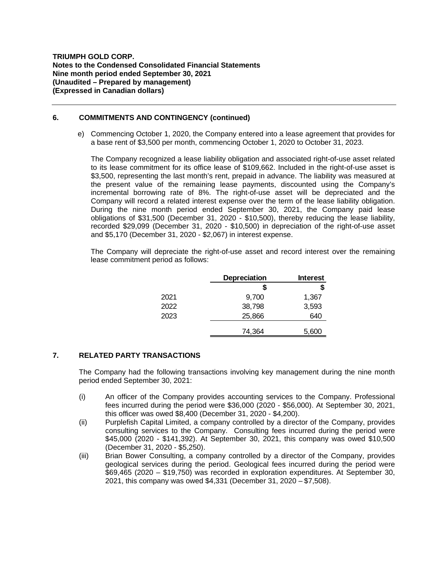## **6. COMMITMENTS AND CONTINGENCY (continued)**

e) Commencing October 1, 2020, the Company entered into a lease agreement that provides for a base rent of \$3,500 per month, commencing October 1, 2020 to October 31, 2023.

The Company recognized a lease liability obligation and associated right-of-use asset related to its lease commitment for its office lease of \$109,662. Included in the right-of-use asset is \$3,500, representing the last month's rent, prepaid in advance. The liability was measured at the present value of the remaining lease payments, discounted using the Company's incremental borrowing rate of 8%. The right-of-use asset will be depreciated and the Company will record a related interest expense over the term of the lease liability obligation. During the nine month period ended September 30, 2021, the Company paid lease obligations of \$31,500 (December 31, 2020 - \$10,500), thereby reducing the lease liability, recorded \$29,099 (December 31, 2020 - \$10,500) in depreciation of the right-of-use asset and \$5,170 (December 31, 2020 - \$2,067) in interest expense.

The Company will depreciate the right-of-use asset and record interest over the remaining lease commitment period as follows:

|      | <b>Depreciation</b> | <b>Interest</b> |
|------|---------------------|-----------------|
|      | S                   | S               |
| 2021 | 9,700               | 1,367           |
| 2022 | 38,798              | 3,593           |
| 2023 | 25,866              | 640             |
|      | 74,364              | 5,600           |

# **7. RELATED PARTY TRANSACTIONS**

The Company had the following transactions involving key management during the nine month period ended September 30, 2021:

- (i) An officer of the Company provides accounting services to the Company. Professional fees incurred during the period were \$36,000 (2020 - \$56,000). At September 30, 2021, this officer was owed \$8,400 (December 31, 2020 - \$4,200).
- (ii) Purplefish Capital Limited, a company controlled by a director of the Company, provides consulting services to the Company. Consulting fees incurred during the period were \$45,000 (2020 - \$141,392). At September 30, 2021, this company was owed \$10,500 (December 31, 2020 - \$5,250).
- (iii) Brian Bower Consulting, a company controlled by a director of the Company, provides geological services during the period. Geological fees incurred during the period were \$69,465 (2020 – \$19,750) was recorded in exploration expenditures. At September 30, 2021, this company was owed \$4,331 (December 31, 2020 – \$7,508).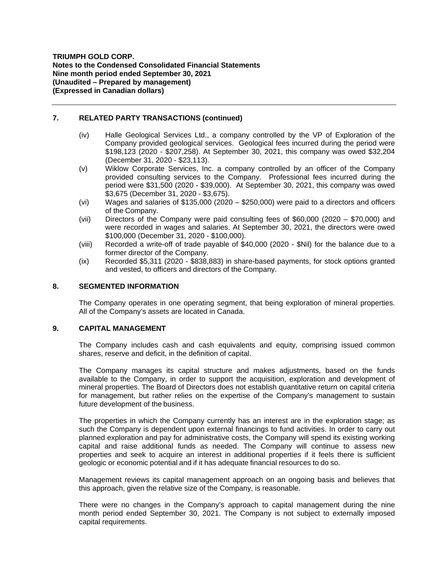## **7. RELATED PARTY TRANSACTIONS (continued)**

- (iv) Halle Geological Services Ltd., a company controlled by the VP of Exploration of the Company provided geological services. Geological fees incurred during the period were \$198,123 (2020 - \$207,258). At September 30, 2021, this company was owed \$32,204 (December 31, 2020 - \$23,113).
- (v) Wiklow Corporate Services, Inc. a company controlled by an officer of the Company provided consulting services to the Company. Professional fees incurred during the period were \$31,500 (2020 - \$39,000). At September 30, 2021, this company was owed \$3,675 (December 31, 2020 - \$3,675).
- (vi) Wages and salaries of \$135,000 (2020 \$250,000) were paid to a directors and officers of the Company.
- (vii) Directors of the Company were paid consulting fees of \$60,000 (2020 \$70,000) and were recorded in wages and salaries. At September 30, 2021, the directors were owed \$100,000 (December 31, 2020 - \$100,000).
- (viii) Recorded a write-off of trade payable of \$40,000 (2020 \$Nil) for the balance due to a former director of the Company.
- (ix) Recorded \$5,311 (2020 \$838,883) in share-based payments, for stock options granted and vested, to officers and directors of the Company.

## **8. SEGMENTED INFORMATION**

The Company operates in one operating segment, that being exploration of mineral properties. All of the Company's assets are located in Canada.

## **9. CAPITAL MANAGEMENT**

The Company includes cash and cash equivalents and equity, comprising issued common shares, reserve and deficit, in the definition of capital.

The Company manages its capital structure and makes adjustments, based on the funds available to the Company, in order to support the acquisition, exploration and development of mineral properties. The Board of Directors does not establish quantitative return on capital criteria for management, but rather relies on the expertise of the Company's management to sustain future development of the business.

The properties in which the Company currently has an interest are in the exploration stage; as such the Company is dependent upon external financings to fund activities. In order to carry out planned exploration and pay for administrative costs, the Company will spend its existing working capital and raise additional funds as needed. The Company will continue to assess new properties and seek to acquire an interest in additional properties if it feels there is sufficient geologic or economic potential and if it has adequate financial resources to do so.

Management reviews its capital management approach on an ongoing basis and believes that this approach, given the relative size of the Company, is reasonable.

There were no changes in the Company's approach to capital management during the nine month period ended September 30, 2021. The Company is not subject to externally imposed capital requirements.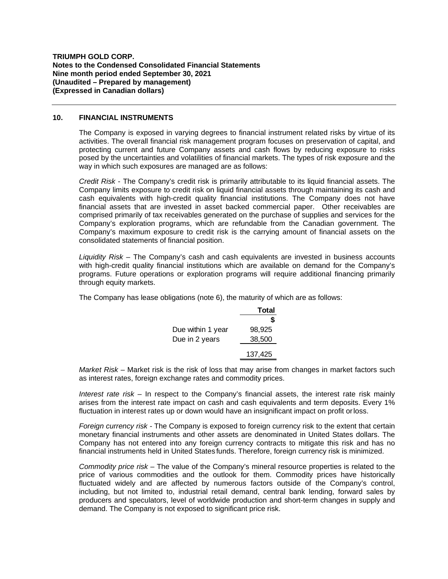### **10. FINANCIAL INSTRUMENTS**

The Company is exposed in varying degrees to financial instrument related risks by virtue of its activities. The overall financial risk management program focuses on preservation of capital, and protecting current and future Company assets and cash flows by reducing exposure to risks posed by the uncertainties and volatilities of financial markets. The types of risk exposure and the way in which such exposures are managed are as follows:

*Credit Risk* - The Company's credit risk is primarily attributable to its liquid financial assets. The Company limits exposure to credit risk on liquid financial assets through maintaining its cash and cash equivalents with high-credit quality financial institutions. The Company does not have financial assets that are invested in asset backed commercial paper. Other receivables are comprised primarily of tax receivables generated on the purchase of supplies and services for the Company's exploration programs, which are refundable from the Canadian government. The Company's maximum exposure to credit risk is the carrying amount of financial assets on the consolidated statements of financial position.

*Liquidity Risk –* The Company's cash and cash equivalents are invested in business accounts with high-credit quality financial institutions which are available on demand for the Company's programs. Future operations or exploration programs will require additional financing primarily through equity markets.

The Company has lease obligations (note 6), the maturity of which are as follows:

|                   | Total   |
|-------------------|---------|
|                   | S       |
| Due within 1 year | 98.925  |
| Due in 2 years    | 38,500  |
|                   | 137,425 |

*Market Risk –* Market risk is the risk of loss that may arise from changes in market factors such as interest rates, foreign exchange rates and commodity prices.

*Interest rate risk* – In respect to the Company's financial assets, the interest rate risk mainly arises from the interest rate impact on cash and cash equivalents and term deposits. Every 1% fluctuation in interest rates up or down would have an insignificant impact on profit orloss.

*Foreign currency risk -* The Company is exposed to foreign currency risk to the extent that certain monetary financial instruments and other assets are denominated in United States dollars. The Company has not entered into any foreign currency contracts to mitigate this risk and has no financial instruments held in United States funds. Therefore, foreign currency risk is minimized.

*Commodity price risk –* The value of the Company's mineral resource properties is related to the price of various commodities and the outlook for them. Commodity prices have historically fluctuated widely and are affected by numerous factors outside of the Company's control, including, but not limited to, industrial retail demand, central bank lending, forward sales by producers and speculators, level of worldwide production and short-term changes in supply and demand. The Company is not exposed to significant price risk.